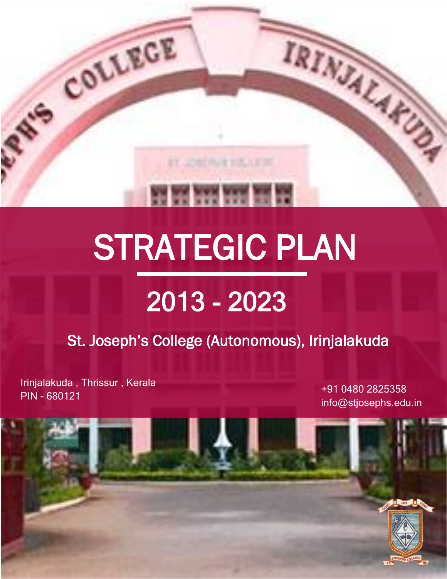

# STRATEGIC PLAN

# 2013 - 2023

St. Joseph's College (Autonomous), Irinjalakuda

Irinjalakuda , Thrissur , Kerala PIN - <sup>680121</sup> +91 0480 2825358

info@stjosephs.edu.in

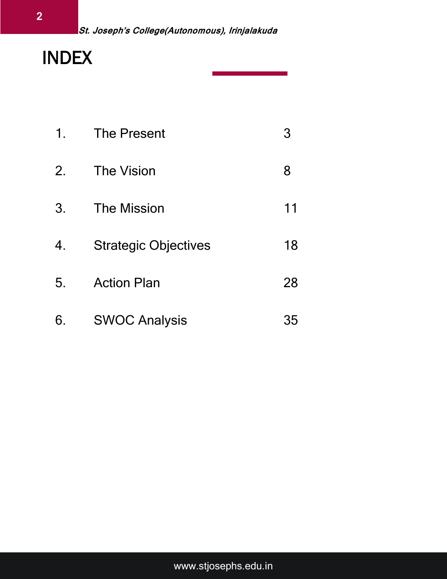# INDEX

|    | 1. The Present              | 3  |
|----|-----------------------------|----|
| 2. | The Vision                  | 8  |
| 3. | <b>The Mission</b>          | 11 |
| 4. | <b>Strategic Objectives</b> | 18 |
| 5. | <b>Action Plan</b>          | 28 |
| 6. | <b>SWOC Analysis</b>        | 35 |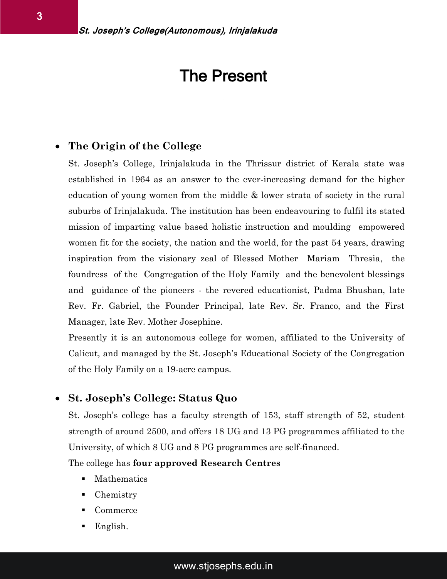### The Present

#### **The Origin of the College**

St. Joseph's College, Irinjalakuda in the Thrissur district of Kerala state was established in 1964 as an answer to the ever-increasing demand for the higher education of young women from the middle & lower strata of society in the rural suburbs of Irinjalakuda. The institution has been endeavouring to fulfil its stated mission of imparting value based holistic instruction and moulding empowered women fit for the society, the nation and the world, for the past 54 years, drawing inspiration from the visionary zeal of Blessed Mother Mariam Thresia, the foundress of the Congregation of the Holy Family and the benevolent blessings and guidance of the pioneers - the revered educationist, Padma Bhushan, late Rev. Fr. Gabriel, the Founder Principal, late Rev. Sr. Franco, and the First Manager, late Rev. Mother Josephine.

Presently it is an autonomous college for women, affiliated to the University of Calicut, and managed by the St. Joseph's Educational Society of the Congregation of the Holy Family on a 19-acre campus.

#### **St. Joseph's College: Status Quo**

St. Joseph's college has a faculty strength of 153, staff strength of 52, student strength of around 2500, and offers 18 UG and 13 PG programmes affiliated to the University, of which 8 UG and 8 PG programmes are self-financed.

The college has **four approved Research Centres**

- **Mathematics**
- Chemistry
- Commerce
- English.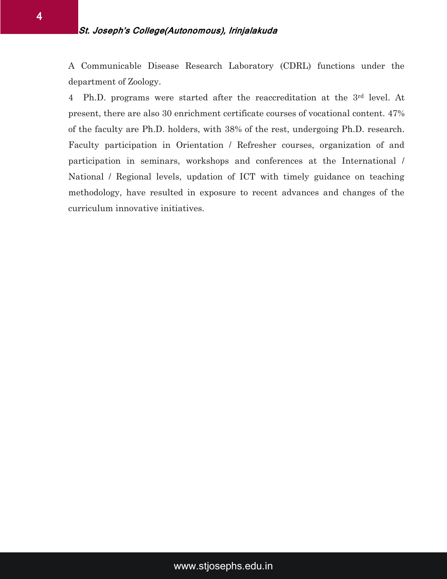A Communicable Disease Research Laboratory (CDRL) functions under the department of Zoology.

4 Ph.D. programs were started after the reaccreditation at the 3rd level. At present, there are also 30 enrichment certificate courses of vocational content. 47% of the faculty are Ph.D. holders, with 38% of the rest, undergoing Ph.D. research. Faculty participation in Orientation / Refresher courses, organization of and participation in seminars, workshops and conferences at the International / National / Regional levels, updation of ICT with timely guidance on teaching methodology, have resulted in exposure to recent advances and changes of the curriculum innovative initiatives.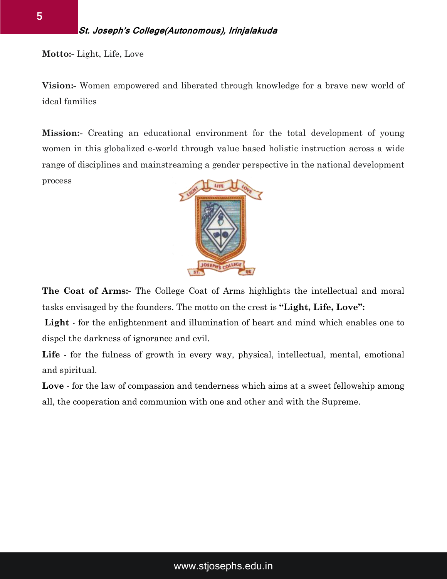**Motto:-** Light, Life, Love

**Vision:-** Women empowered and liberated through knowledge for a brave new world of ideal families

**Mission:-** Creating an educational environment for the total development of young women in this globalized e-world through value based holistic instruction across a wide range of disciplines and mainstreaming a gender perspective in the national development process



**The Coat of Arms:-** The College Coat of Arms highlights the intellectual and moral tasks envisaged by the founders. The motto on the crest is **"Light, Life, Love":**

**Light** - for the enlightenment and illumination of heart and mind which enables one to dispel the darkness of ignorance and evil.

**Life** - for the fulness of growth in every way, physical, intellectual, mental, emotional and spiritual.

**Love** - for the law of compassion and tenderness which aims at a sweet fellowship among all, the cooperation and communion with one and other and with the Supreme.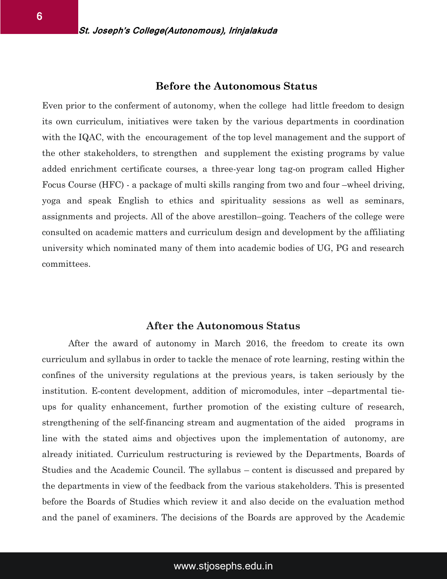#### **Before the Autonomous Status**

Even prior to the conferment of autonomy, when the college had little freedom to design its own curriculum, initiatives were taken by the various departments in coordination with the IQAC, with the encouragement of the top level management and the support of the other stakeholders, to strengthen and supplement the existing programs by value added enrichment certificate courses, a three-year long tag-on program called Higher Focus Course (HFC) - a package of multi skills ranging from two and four –wheel driving, yoga and speak English to ethics and spirituality sessions as well as seminars, assignments and projects. All of the above arestillon–going. Teachers of the college were consulted on academic matters and curriculum design and development by the affiliating university which nominated many of them into academic bodies of UG, PG and research committees.

#### **After the Autonomous Status**

After the award of autonomy in March 2016, the freedom to create its own curriculum and syllabus in order to tackle the menace of rote learning, resting within the confines of the university regulations at the previous years, is taken seriously by the institution. E-content development, addition of micromodules, inter –departmental tieups for quality enhancement, further promotion of the existing culture of research, strengthening of the self-financing stream and augmentation of the aided programs in line with the stated aims and objectives upon the implementation of autonomy, are already initiated. Curriculum restructuring is reviewed by the Departments, Boards of Studies and the Academic Council. The syllabus – content is discussed and prepared by the departments in view of the feedback from the various stakeholders. This is presented before the Boards of Studies which review it and also decide on the evaluation method and the panel of examiners. The decisions of the Boards are approved by the Academic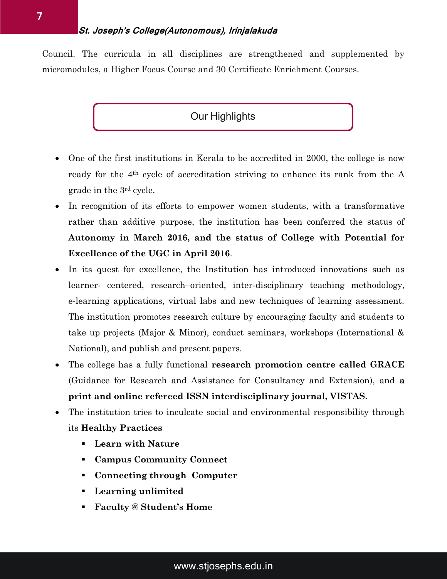Council. The curricula in all disciplines are strengthened and supplemented by micromodules, a Higher Focus Course and 30 Certificate Enrichment Courses.

#### Our Highlights

- One of the first institutions in Kerala to be accredited in 2000, the college is now ready for the 4th cycle of accreditation striving to enhance its rank from the A grade in the 3rd cycle.
- In recognition of its efforts to empower women students, with a transformative rather than additive purpose, the institution has been conferred the status of **Autonomy in March 2016, and the status of College with Potential for Excellence of the UGC in April 2016**.
- In its quest for excellence, the Institution has introduced innovations such as learner- centered, research–oriented, inter-disciplinary teaching methodology, e-learning applications, virtual labs and new techniques of learning assessment. The institution promotes research culture by encouraging faculty and students to take up projects (Major & Minor), conduct seminars, workshops (International & National), and publish and present papers.
- The college has a fully functional **research promotion centre called GRACE** (Guidance for Research and Assistance for Consultancy and Extension), and **a print and online refereed ISSN interdisciplinary journal, VISTAS.**
- The institution tries to inculcate social and environmental responsibility through its **Healthy Practices**
	- **Learn with Nature**
	- **Campus Community Connect**
	- **Connecting through Computer**
	- **Learning unlimited**
	- **Faculty @ Student's Home**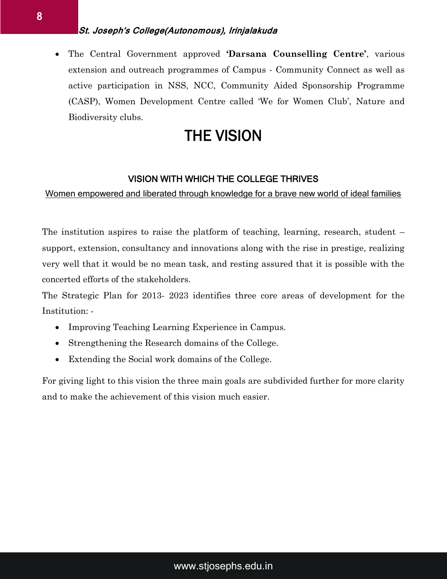#### **St. Joseph's College(Autonomous), Irinjalakuda**

 The Central Government approved **'Darsana Counselling Centre'**, various extension and outreach programmes of Campus - Community Connect as well as active participation in NSS, NCC, Community Aided Sponsorship Programme (CASP), Women Development Centre called 'We for Women Club', Nature and Biodiversity clubs.

# THE VISION

#### VISION WITH WHICH THE COLLEGE THRIVES

Women empowered and liberated through knowledge for a brave new world of ideal families

The institution aspires to raise the platform of teaching, learning, research, student – support, extension, consultancy and innovations along with the rise in prestige, realizing very well that it would be no mean task, and resting assured that it is possible with the concerted efforts of the stakeholders.

The Strategic Plan for 2013- 2023 identifies three core areas of development for the Institution: -

- Improving Teaching Learning Experience in Campus.
- Strengthening the Research domains of the College.
- Extending the Social work domains of the College.

For giving light to this vision the three main goals are subdivided further for more clarity and to make the achievement of this vision much easier.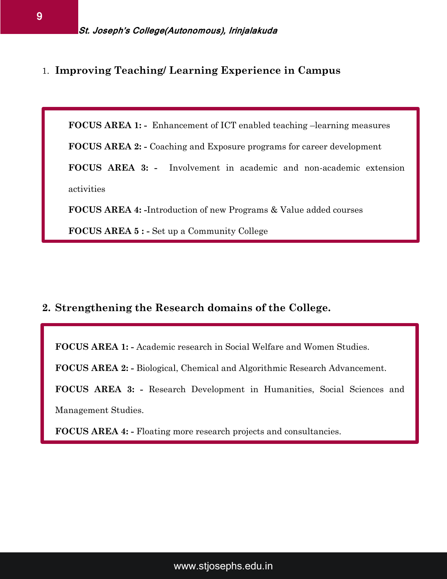1. **Improving Teaching/ Learning Experience in Campus** 

**FOCUS AREA 1: -** Enhancement of ICT enabled teaching –learning measures

**FOCUS AREA 2: -** Coaching and Exposure programs for career development

**FOCUS AREA 3: -** Involvement in academic and non-academic extension activities

**FOCUS AREA 4: -**Introduction of new Programs & Value added courses

**FOCUS AREA 5 : -** Set up a Community College

#### **2. Strengthening the Research domains of the College.**

**FOCUS AREA 1: -** Academic research in Social Welfare and Women Studies.

**FOCUS AREA 2: -** Biological, Chemical and Algorithmic Research Advancement.

**FOCUS AREA 3: -** Research Development in Humanities, Social Sciences and Management Studies.

**FOCUS AREA 4: -** Floating more research projects and consultancies.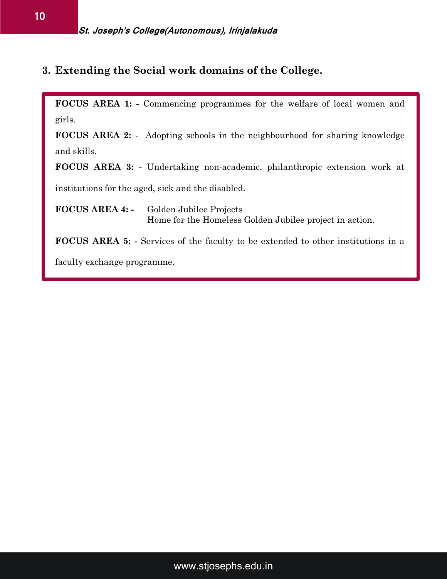**3. Extending the Social work domains of the College.** 

**FOCUS AREA 1: -** Commencing programmes for the welfare of local women and girls.

**FOCUS AREA 2:** - Adopting schools in the neighbourhood for sharing knowledge and skills.

**FOCUS AREA 3: -** Undertaking non-academic, philanthropic extension work at

institutions for the aged, sick and the disabled.

**FOCUS AREA 4: -** Golden Jubilee Projects Home for the Homeless Golden Jubilee project in action.

**FOCUS AREA 5: -** Services of the faculty to be extended to other institutions in a

faculty exchange programme.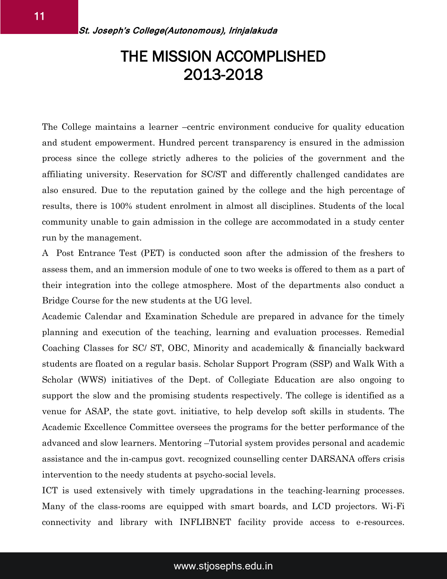# THE MISSION ACCOMPLISHED 2013-2018

The College maintains a learner –centric environment conducive for quality education and student empowerment. Hundred percent transparency is ensured in the admission process since the college strictly adheres to the policies of the government and the affiliating university. Reservation for SC/ST and differently challenged candidates are also ensured. Due to the reputation gained by the college and the high percentage of results, there is 100% student enrolment in almost all disciplines. Students of the local community unable to gain admission in the college are accommodated in a study center run by the management.

A Post Entrance Test (PET) is conducted soon after the admission of the freshers to assess them, and an immersion module of one to two weeks is offered to them as a part of their integration into the college atmosphere. Most of the departments also conduct a Bridge Course for the new students at the UG level.

Academic Calendar and Examination Schedule are prepared in advance for the timely planning and execution of the teaching, learning and evaluation processes. Remedial Coaching Classes for SC/ ST, OBC, Minority and academically & financially backward students are floated on a regular basis. Scholar Support Program (SSP) and Walk With a Scholar (WWS) initiatives of the Dept. of Collegiate Education are also ongoing to support the slow and the promising students respectively. The college is identified as a venue for ASAP, the state govt. initiative, to help develop soft skills in students. The Academic Excellence Committee oversees the programs for the better performance of the advanced and slow learners. Mentoring –Tutorial system provides personal and academic assistance and the in-campus govt. recognized counselling center DARSANA offers crisis intervention to the needy students at psycho-social levels.

ICT is used extensively with timely upgradations in the teaching-learning processes. Many of the class-rooms are equipped with smart boards, and LCD projectors. Wi-Fi connectivity and library with INFLIBNET facility provide access to e-resources.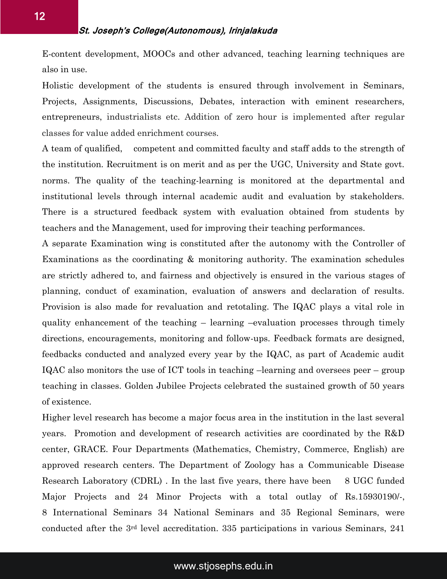E-content development, MOOCs and other advanced, teaching learning techniques are also in use.

Holistic development of the students is ensured through involvement in Seminars, Projects, Assignments, Discussions, Debates, interaction with eminent researchers, entrepreneurs, industrialists etc. Addition of zero hour is implemented after regular classes for value added enrichment courses.

A team of qualified, competent and committed faculty and staff adds to the strength of the institution. Recruitment is on merit and as per the UGC, University and State govt. norms. The quality of the teaching-learning is monitored at the departmental and institutional levels through internal academic audit and evaluation by stakeholders. There is a structured feedback system with evaluation obtained from students by teachers and the Management, used for improving their teaching performances.

A separate Examination wing is constituted after the autonomy with the Controller of Examinations as the coordinating & monitoring authority. The examination schedules are strictly adhered to, and fairness and objectively is ensured in the various stages of planning, conduct of examination, evaluation of answers and declaration of results. Provision is also made for revaluation and retotaling. The IQAC plays a vital role in quality enhancement of the teaching – learning –evaluation processes through timely directions, encouragements, monitoring and follow-ups. Feedback formats are designed, feedbacks conducted and analyzed every year by the IQAC, as part of Academic audit IQAC also monitors the use of ICT tools in teaching –learning and oversees peer – group teaching in classes. Golden Jubilee Projects celebrated the sustained growth of 50 years of existence.

Higher level research has become a major focus area in the institution in the last several years. Promotion and development of research activities are coordinated by the R&D center, GRACE. Four Departments (Mathematics, Chemistry, Commerce, English) are approved research centers. The Department of Zoology has a Communicable Disease Research Laboratory (CDRL). In the last five years, there have been 8 UGC funded Major Projects and 24 Minor Projects with a total outlay of Rs.15930190/-, 8 International Seminars 34 National Seminars and 35 Regional Seminars, were conducted after the 3rd level accreditation. 335 participations in various Seminars, 241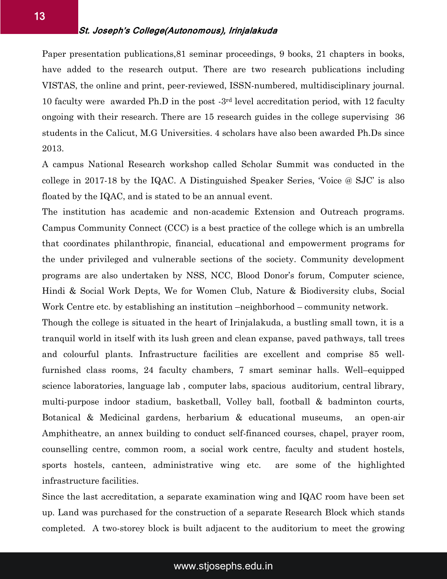Paper presentation publications,81 seminar proceedings, 9 books, 21 chapters in books, have added to the research output. There are two research publications including VISTAS, the online and print, peer-reviewed, ISSN-numbered, multidisciplinary journal. 10 faculty were awarded Ph.D in the post -3rd level accreditation period, with 12 faculty ongoing with their research. There are 15 research guides in the college supervising 36 students in the Calicut, M.G Universities. 4 scholars have also been awarded Ph.Ds since 2013.

A campus National Research workshop called Scholar Summit was conducted in the college in 2017-18 by the IQAC. A Distinguished Speaker Series, 'Voice @ SJC' is also floated by the IQAC, and is stated to be an annual event.

The institution has academic and non-academic Extension and Outreach programs. Campus Community Connect (CCC) is a best practice of the college which is an umbrella that coordinates philanthropic, financial, educational and empowerment programs for the under privileged and vulnerable sections of the society. Community development programs are also undertaken by NSS, NCC, Blood Donor's forum, Computer science, Hindi & Social Work Depts, We for Women Club, Nature & Biodiversity clubs, Social Work Centre etc. by establishing an institution –neighborhood – community network.

Though the college is situated in the heart of Irinjalakuda, a bustling small town, it is a tranquil world in itself with its lush green and clean expanse, paved pathways, tall trees and colourful plants. Infrastructure facilities are excellent and comprise 85 wellfurnished class rooms, 24 faculty chambers, 7 smart seminar halls. Well–equipped science laboratories, language lab , computer labs, spacious auditorium, central library, multi-purpose indoor stadium, basketball, Volley ball, football & badminton courts, Botanical & Medicinal gardens, herbarium & educational museums, an open-air Amphitheatre, an annex building to conduct self-financed courses, chapel, prayer room, counselling centre, common room, a social work centre, faculty and student hostels, sports hostels, canteen, administrative wing etc. are some of the highlighted infrastructure facilities.

Since the last accreditation, a separate examination wing and IQAC room have been set up. Land was purchased for the construction of a separate Research Block which stands completed. A two-storey block is built adjacent to the auditorium to meet the growing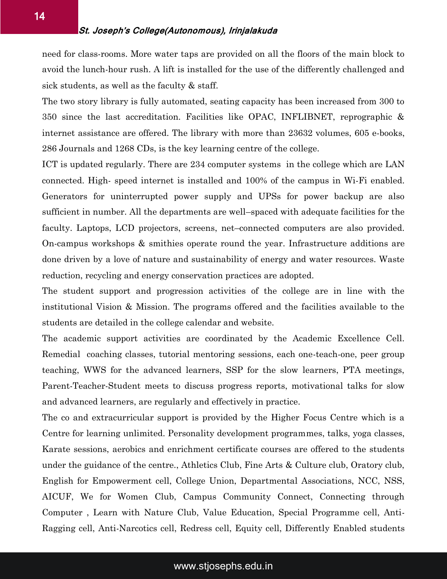need for class-rooms. More water taps are provided on all the floors of the main block to avoid the lunch-hour rush. A lift is installed for the use of the differently challenged and sick students, as well as the faculty  $&$  staff.

The two story library is fully automated, seating capacity has been increased from 300 to 350 since the last accreditation. Facilities like OPAC, INFLIBNET, reprographic & internet assistance are offered. The library with more than 23632 volumes, 605 e-books, 286 Journals and 1268 CDs, is the key learning centre of the college.

ICT is updated regularly. There are 234 computer systems in the college which are LAN connected. High- speed internet is installed and 100% of the campus in Wi-Fi enabled. Generators for uninterrupted power supply and UPSs for power backup are also sufficient in number. All the departments are well–spaced with adequate facilities for the faculty. Laptops, LCD projectors, screens, net–connected computers are also provided. On-campus workshops & smithies operate round the year. Infrastructure additions are done driven by a love of nature and sustainability of energy and water resources. Waste reduction, recycling and energy conservation practices are adopted.

The student support and progression activities of the college are in line with the institutional Vision & Mission. The programs offered and the facilities available to the students are detailed in the college calendar and website.

The academic support activities are coordinated by the Academic Excellence Cell. Remedial coaching classes, tutorial mentoring sessions, each one-teach-one, peer group teaching, WWS for the advanced learners, SSP for the slow learners, PTA meetings, Parent-Teacher-Student meets to discuss progress reports, motivational talks for slow and advanced learners, are regularly and effectively in practice.

The co and extracurricular support is provided by the Higher Focus Centre which is a Centre for learning unlimited. Personality development programmes, talks, yoga classes, Karate sessions, aerobics and enrichment certificate courses are offered to the students under the guidance of the centre., Athletics Club, Fine Arts & Culture club, Oratory club, English for Empowerment cell, College Union, Departmental Associations, NCC, NSS, AICUF, We for Women Club, Campus Community Connect, Connecting through Computer , Learn with Nature Club, Value Education, Special Programme cell, Anti-Ragging cell, Anti-Narcotics cell, Redress cell, Equity cell, Differently Enabled students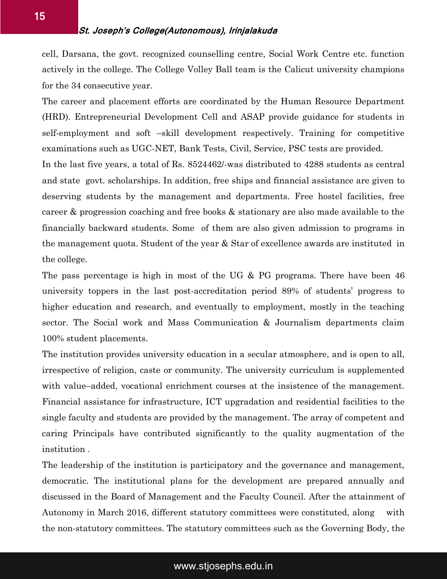cell, Darsana, the govt. recognized counselling centre, Social Work Centre etc. function actively in the college. The College Volley Ball team is the Calicut university champions for the 34 consecutive year.

The career and placement efforts are coordinated by the Human Resource Department (HRD). Entrepreneurial Development Cell and ASAP provide guidance for students in self-employment and soft –skill development respectively. Training for competitive examinations such as UGC-NET, Bank Tests, Civil, Service, PSC tests are provided.

In the last five years, a total of Rs. 8524462/-was distributed to 4288 students as central and state govt. scholarships. In addition, free ships and financial assistance are given to deserving students by the management and departments. Free hostel facilities, free career & progression coaching and free books & stationary are also made available to the financially backward students. Some of them are also given admission to programs in the management quota. Student of the year & Star of excellence awards are instituted in the college.

The pass percentage is high in most of the UG & PG programs. There have been 46 university toppers in the last post-accreditation period 89% of students' progress to higher education and research, and eventually to employment, mostly in the teaching sector. The Social work and Mass Communication & Journalism departments claim 100% student placements.

The institution provides university education in a secular atmosphere, and is open to all, irrespective of religion, caste or community. The university curriculum is supplemented with value–added, vocational enrichment courses at the insistence of the management. Financial assistance for infrastructure, ICT upgradation and residential facilities to the single faculty and students are provided by the management. The array of competent and caring Principals have contributed significantly to the quality augmentation of the institution .

The leadership of the institution is participatory and the governance and management, democratic. The institutional plans for the development are prepared annually and discussed in the Board of Management and the Faculty Council. After the attainment of Autonomy in March 2016, different statutory committees were constituted, along with the non-statutory committees. The statutory committees such as the Governing Body, the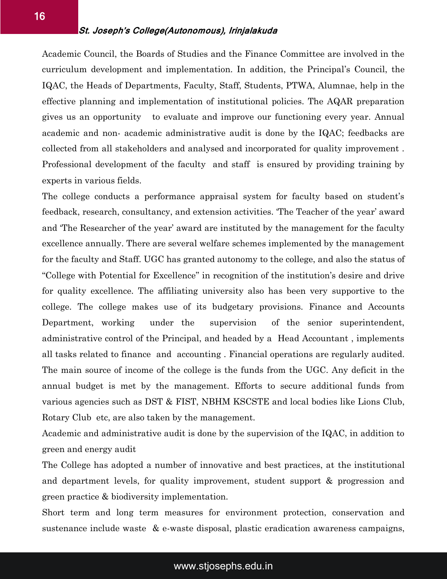#### **St. Joseph's College(Autonomous), Irinjalakuda**

Academic Council, the Boards of Studies and the Finance Committee are involved in the curriculum development and implementation. In addition, the Principal's Council, the IQAC, the Heads of Departments, Faculty, Staff, Students, PTWA, Alumnae, help in the effective planning and implementation of institutional policies. The AQAR preparation gives us an opportunity to evaluate and improve our functioning every year. Annual academic and non- academic administrative audit is done by the IQAC; feedbacks are collected from all stakeholders and analysed and incorporated for quality improvement . Professional development of the faculty and staff is ensured by providing training by experts in various fields.

The college conducts a performance appraisal system for faculty based on student's feedback, research, consultancy, and extension activities. 'The Teacher of the year' award and 'The Researcher of the year' award are instituted by the management for the faculty excellence annually. There are several welfare schemes implemented by the management for the faculty and Staff. UGC has granted autonomy to the college, and also the status of "College with Potential for Excellence" in recognition of the institution's desire and drive for quality excellence. The affiliating university also has been very supportive to the college. The college makes use of its budgetary provisions. Finance and Accounts Department, working under the supervision of the senior superintendent, administrative control of the Principal, and headed by a Head Accountant , implements all tasks related to finance and accounting . Financial operations are regularly audited. The main source of income of the college is the funds from the UGC. Any deficit in the annual budget is met by the management. Efforts to secure additional funds from various agencies such as DST & FIST, NBHM KSCSTE and local bodies like Lions Club, Rotary Club etc, are also taken by the management.

Academic and administrative audit is done by the supervision of the IQAC, in addition to green and energy audit

The College has adopted a number of innovative and best practices, at the institutional and department levels, for quality improvement, student support & progression and green practice & biodiversity implementation.

Short term and long term measures for environment protection, conservation and sustenance include waste & e-waste disposal, plastic eradication awareness campaigns,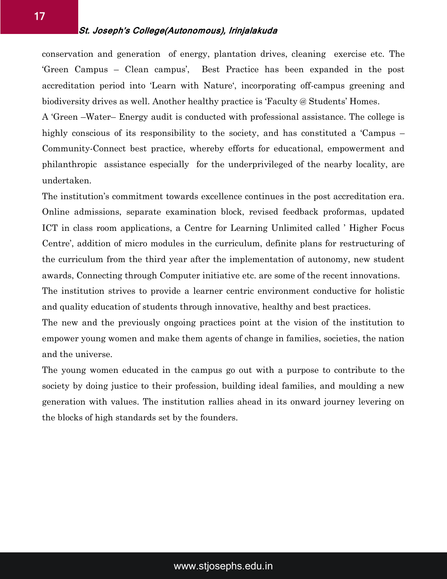#### **St. Joseph's College(Autonomous), Irinjalakuda**

conservation and generation of energy, plantation drives, cleaning exercise etc. The 'Green Campus – Clean campus', Best Practice has been expanded in the post accreditation period into 'Learn with Nature', incorporating off-campus greening and biodiversity drives as well. Another healthy practice is 'Faculty @ Students' Homes.

A 'Green –Water– Energy audit is conducted with professional assistance. The college is highly conscious of its responsibility to the society, and has constituted a 'Campus – Community-Connect best practice, whereby efforts for educational, empowerment and philanthropic assistance especially for the underprivileged of the nearby locality, are undertaken.

The institution's commitment towards excellence continues in the post accreditation era. Online admissions, separate examination block, revised feedback proformas, updated ICT in class room applications, a Centre for Learning Unlimited called ' Higher Focus Centre', addition of micro modules in the curriculum, definite plans for restructuring of the curriculum from the third year after the implementation of autonomy, new student awards, Connecting through Computer initiative etc. are some of the recent innovations. The institution strives to provide a learner centric environment conductive for holistic and quality education of students through innovative, healthy and best practices.

The new and the previously ongoing practices point at the vision of the institution to empower young women and make them agents of change in families, societies, the nation and the universe.

The young women educated in the campus go out with a purpose to contribute to the society by doing justice to their profession, building ideal families, and moulding a new generation with values. The institution rallies ahead in its onward journey levering on the blocks of high standards set by the founders.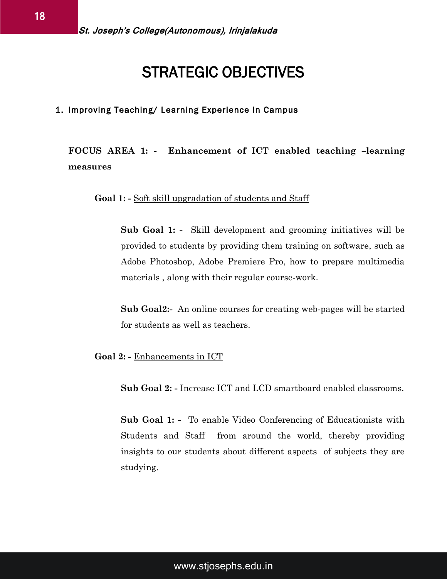### STRATEGIC OBJECTIVES

#### 1. Improving Teaching/ Learning Experience in Campus

#### **FOCUS AREA 1: - Enhancement of ICT enabled teaching –learning measures**

**Goal 1: -** Soft skill upgradation of students and Staff

**Sub Goal 1: -** Skill development and grooming initiatives will be provided to students by providing them training on software, such as Adobe Photoshop, Adobe Premiere Pro, how to prepare multimedia materials , along with their regular course-work.

**Sub Goal2:-** An online courses for creating web-pages will be started for students as well as teachers.

**Goal 2: -** Enhancements in ICT

**Sub Goal 2: -** Increase ICT and LCD smartboard enabled classrooms.

**Sub Goal 1: -** To enable Video Conferencing of Educationists with Students and Staff from around the world, thereby providing insights to our students about different aspects of subjects they are studying.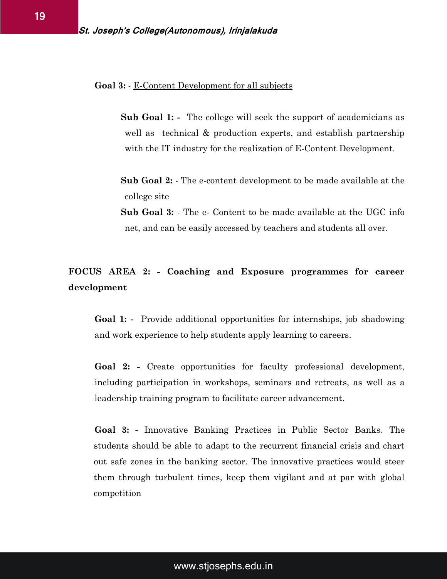**Goal 3:** - E-Content Development for all subjects

- **Sub Goal 1:** The college will seek the support of academicians as well as technical & production experts, and establish partnership with the IT industry for the realization of E-Content Development.
- **Sub Goal 2:** The e-content development to be made available at the college site
- **Sub Goal 3:** The e- Content to be made available at the UGC info net, and can be easily accessed by teachers and students all over.

#### **FOCUS AREA 2: - Coaching and Exposure programmes for career development**

**Goal 1: -** Provide additional opportunities for internships, job shadowing and work experience to help students apply learning to careers.

**Goal 2: -** Create opportunities for faculty professional development, including participation in workshops, seminars and retreats, as well as a leadership training program to facilitate career advancement.

**Goal 3: -** Innovative Banking Practices in Public Sector Banks. The students should be able to adapt to the recurrent financial crisis and chart out safe zones in the banking sector. The innovative practices would steer them through turbulent times, keep them vigilant and at par with global competition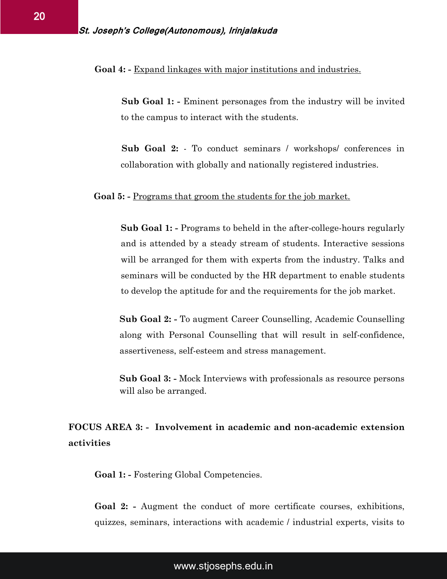#### **Goal 4: -** Expand linkages with major institutions and industries.

**Sub Goal 1: -** Eminent personages from the industry will be invited to the campus to interact with the students.

**Sub Goal 2:** - To conduct seminars / workshops/ conferences in collaboration with globally and nationally registered industries.

#### **Goal 5: -** Programs that groom the students for the job market.

**Sub Goal 1: -** Programs to beheld in the after-college-hours regularly and is attended by a steady stream of students. Interactive sessions will be arranged for them with experts from the industry. Talks and seminars will be conducted by the HR department to enable students to develop the aptitude for and the requirements for the job market.

**Sub Goal 2: -** To augment Career Counselling, Academic Counselling along with Personal Counselling that will result in self-confidence, assertiveness, self-esteem and stress management.

**Sub Goal 3: -** Mock Interviews with professionals as resource persons will also be arranged.

#### **FOCUS AREA 3: - Involvement in academic and non-academic extension activities**

**Goal 1: -** Fostering Global Competencies.

**Goal 2: -** Augment the conduct of more certificate courses, exhibitions, quizzes, seminars, interactions with academic / industrial experts, visits to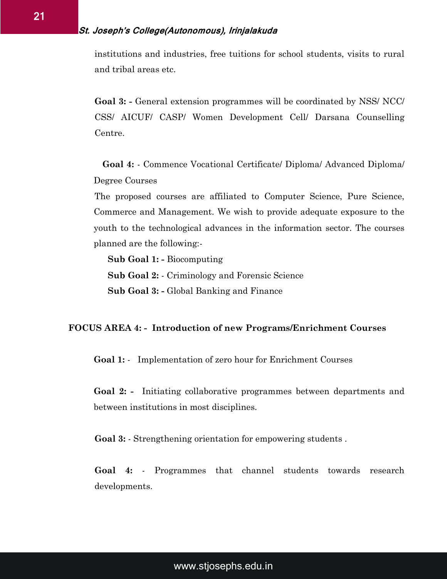institutions and industries, free tuitions for school students, visits to rural and tribal areas etc.

**Goal 3: -** General extension programmes will be coordinated by NSS/ NCC/ CSS/ AICUF/ CASP/ Women Development Cell/ Darsana Counselling Centre.

 **Goal 4:** - Commence Vocational Certificate/ Diploma/ Advanced Diploma/ Degree Courses

The proposed courses are affiliated to Computer Science, Pure Science, Commerce and Management. We wish to provide adequate exposure to the youth to the technological advances in the information sector. The courses planned are the following:-

**Sub Goal 1: -** Biocomputing **Sub Goal 2:** - Criminology and Forensic Science **Sub Goal 3: -** Global Banking and Finance

#### **FOCUS AREA 4: - Introduction of new Programs/Enrichment Courses**

**Goal 1:** - Implementation of zero hour for Enrichment Courses

**Goal 2: -** Initiating collaborative programmes between departments and between institutions in most disciplines.

**Goal 3:** - Strengthening orientation for empowering students .

**Goal 4:** - Programmes that channel students towards research developments.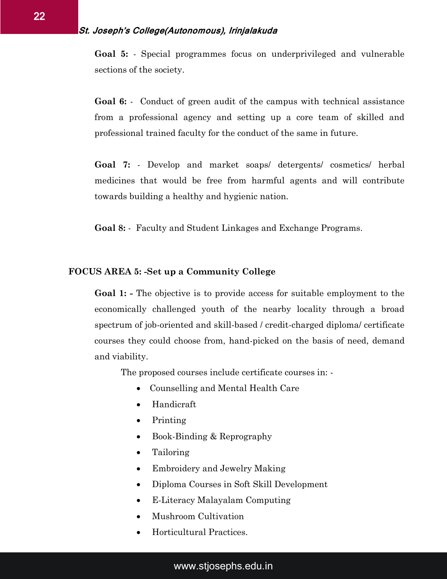**Goal 5:** - Special programmes focus on underprivileged and vulnerable sections of the society.

**Goal 6:** - Conduct of green audit of the campus with technical assistance from a professional agency and setting up a core team of skilled and professional trained faculty for the conduct of the same in future.

**Goal 7:** - Develop and market soaps/ detergents/ cosmetics/ herbal medicines that would be free from harmful agents and will contribute towards building a healthy and hygienic nation.

**Goal 8:** - Faculty and Student Linkages and Exchange Programs.

#### **FOCUS AREA 5: -Set up a Community College**

**Goal 1: -** The objective is to provide access for suitable employment to the economically challenged youth of the nearby locality through a broad spectrum of job-oriented and skill-based / credit-charged diploma/ certificate courses they could choose from, hand-picked on the basis of need, demand and viability.

The proposed courses include certificate courses in: -

- Counselling and Mental Health Care
- Handicraft
- Printing
- Book-Binding & Reprography
- Tailoring
- Embroidery and Jewelry Making
- Diploma Courses in Soft Skill Development
- E-Literacy Malayalam Computing
- Mushroom Cultivation
- Horticultural Practices.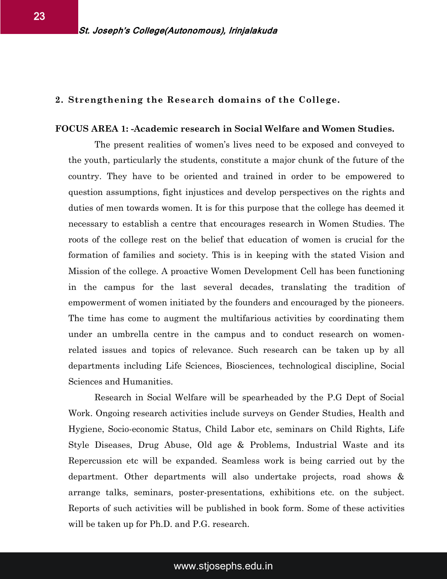#### **2. Strengthening the Research domains of the College.**

#### **FOCUS AREA 1: -Academic research in Social Welfare and Women Studies.**

The present realities of women's lives need to be exposed and conveyed to the youth, particularly the students, constitute a major chunk of the future of the country. They have to be oriented and trained in order to be empowered to question assumptions, fight injustices and develop perspectives on the rights and duties of men towards women. It is for this purpose that the college has deemed it necessary to establish a centre that encourages research in Women Studies. The roots of the college rest on the belief that education of women is crucial for the formation of families and society. This is in keeping with the stated Vision and Mission of the college. A proactive Women Development Cell has been functioning in the campus for the last several decades, translating the tradition of empowerment of women initiated by the founders and encouraged by the pioneers. The time has come to augment the multifarious activities by coordinating them under an umbrella centre in the campus and to conduct research on womenrelated issues and topics of relevance. Such research can be taken up by all departments including Life Sciences, Biosciences, technological discipline, Social Sciences and Humanities.

Research in Social Welfare will be spearheaded by the P.G Dept of Social Work. Ongoing research activities include surveys on Gender Studies, Health and Hygiene, Socio-economic Status, Child Labor etc, seminars on Child Rights, Life Style Diseases, Drug Abuse, Old age & Problems, Industrial Waste and its Repercussion etc will be expanded. Seamless work is being carried out by the department. Other departments will also undertake projects, road shows & arrange talks, seminars, poster-presentations, exhibitions etc. on the subject. Reports of such activities will be published in book form. Some of these activities will be taken up for Ph.D. and P.G. research.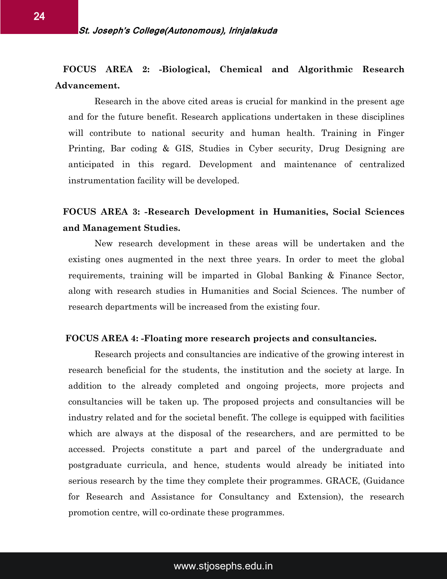#### **FOCUS AREA 2: -Biological, Chemical and Algorithmic Research Advancement.**

Research in the above cited areas is crucial for mankind in the present age and for the future benefit. Research applications undertaken in these disciplines will contribute to national security and human health. Training in Finger Printing, Bar coding & GIS, Studies in Cyber security, Drug Designing are anticipated in this regard. Development and maintenance of centralized instrumentation facility will be developed.

#### **FOCUS AREA 3: -Research Development in Humanities, Social Sciences and Management Studies.**

New research development in these areas will be undertaken and the existing ones augmented in the next three years. In order to meet the global requirements, training will be imparted in Global Banking & Finance Sector, along with research studies in Humanities and Social Sciences. The number of research departments will be increased from the existing four.

#### **FOCUS AREA 4: -Floating more research projects and consultancies.**

Research projects and consultancies are indicative of the growing interest in research beneficial for the students, the institution and the society at large. In addition to the already completed and ongoing projects, more projects and consultancies will be taken up. The proposed projects and consultancies will be industry related and for the societal benefit. The college is equipped with facilities which are always at the disposal of the researchers, and are permitted to be accessed. Projects constitute a part and parcel of the undergraduate and postgraduate curricula, and hence, students would already be initiated into serious research by the time they complete their programmes. GRACE, (Guidance for Research and Assistance for Consultancy and Extension), the research promotion centre, will co-ordinate these programmes.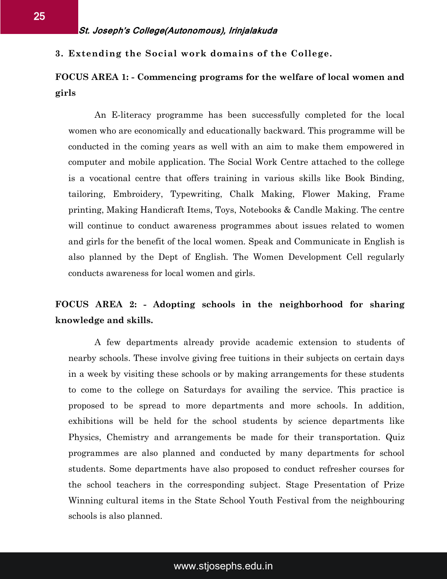**3. Extending the Social work domains of the College.** 

#### **FOCUS AREA 1: - Commencing programs for the welfare of local women and girls**

An E-literacy programme has been successfully completed for the local women who are economically and educationally backward. This programme will be conducted in the coming years as well with an aim to make them empowered in computer and mobile application. The Social Work Centre attached to the college is a vocational centre that offers training in various skills like Book Binding, tailoring, Embroidery, Typewriting, Chalk Making, Flower Making, Frame printing, Making Handicraft Items, Toys, Notebooks & Candle Making. The centre will continue to conduct awareness programmes about issues related to women and girls for the benefit of the local women. Speak and Communicate in English is also planned by the Dept of English. The Women Development Cell regularly conducts awareness for local women and girls.

#### **FOCUS AREA 2: - Adopting schools in the neighborhood for sharing knowledge and skills.**

A few departments already provide academic extension to students of nearby schools. These involve giving free tuitions in their subjects on certain days in a week by visiting these schools or by making arrangements for these students to come to the college on Saturdays for availing the service. This practice is proposed to be spread to more departments and more schools. In addition, exhibitions will be held for the school students by science departments like Physics, Chemistry and arrangements be made for their transportation. Quiz programmes are also planned and conducted by many departments for school students. Some departments have also proposed to conduct refresher courses for the school teachers in the corresponding subject. Stage Presentation of Prize Winning cultural items in the State School Youth Festival from the neighbouring schools is also planned.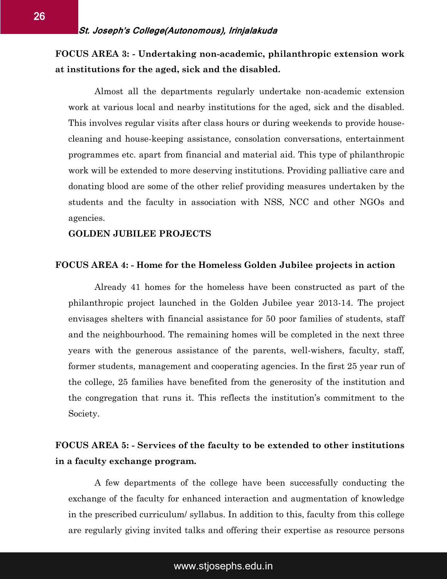#### **FOCUS AREA 3: - Undertaking non-academic, philanthropic extension work at institutions for the aged, sick and the disabled.**

Almost all the departments regularly undertake non-academic extension work at various local and nearby institutions for the aged, sick and the disabled. This involves regular visits after class hours or during weekends to provide housecleaning and house-keeping assistance, consolation conversations, entertainment programmes etc. apart from financial and material aid. This type of philanthropic work will be extended to more deserving institutions. Providing palliative care and donating blood are some of the other relief providing measures undertaken by the students and the faculty in association with NSS, NCC and other NGOs and agencies.

#### **GOLDEN JUBILEE PROJECTS**

#### **FOCUS AREA 4: - Home for the Homeless Golden Jubilee projects in action**

Already 41 homes for the homeless have been constructed as part of the philanthropic project launched in the Golden Jubilee year 2013-14. The project envisages shelters with financial assistance for 50 poor families of students, staff and the neighbourhood. The remaining homes will be completed in the next three years with the generous assistance of the parents, well-wishers, faculty, staff, former students, management and cooperating agencies. In the first 25 year run of the college, 25 families have benefited from the generosity of the institution and the congregation that runs it. This reflects the institution's commitment to the Society.

#### **FOCUS AREA 5: - Services of the faculty to be extended to other institutions in a faculty exchange program.**

A few departments of the college have been successfully conducting the exchange of the faculty for enhanced interaction and augmentation of knowledge in the prescribed curriculum/ syllabus. In addition to this, faculty from this college are regularly giving invited talks and offering their expertise as resource persons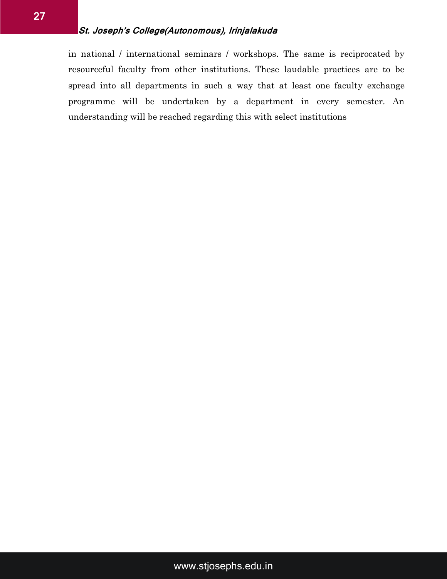in national / international seminars / workshops. The same is reciprocated by resourceful faculty from other institutions. These laudable practices are to be spread into all departments in such a way that at least one faculty exchange programme will be undertaken by a department in every semester. An understanding will be reached regarding this with select institutions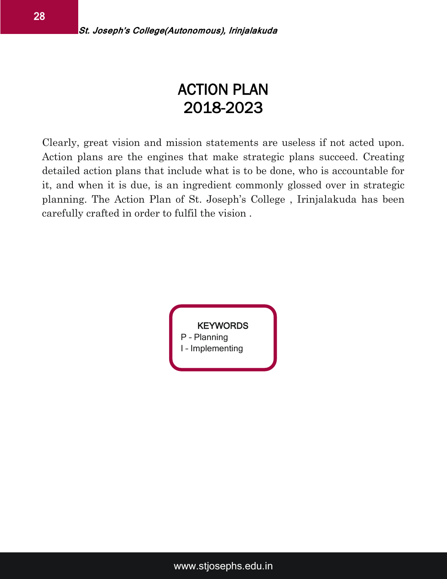# ACTION PLAN 2018-2023

Clearly, great vision and mission statements are useless if not acted upon. Action plans are the engines that make strategic plans succeed. Creating detailed action plans that include what is to be done, who is accountable for it, and when it is due, is an ingredient commonly glossed over in strategic planning. The Action Plan of St. Joseph's College , Irinjalakuda has been carefully crafted in order to fulfil the vision .

> **KEYWORDS** P – Planning I – Implementing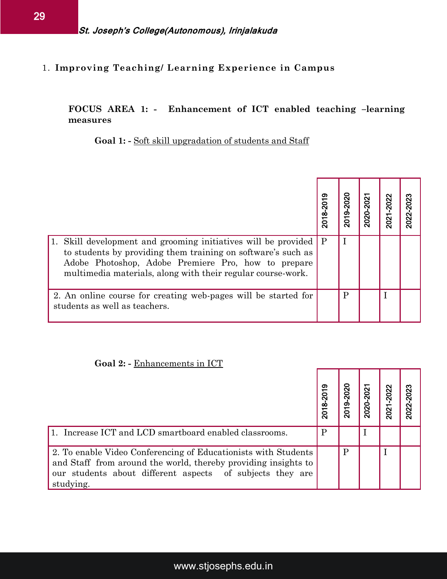#### 1. **Improving Teaching/ Learning Experience in Campus**

#### **FOCUS AREA 1: - Enhancement of ICT enabled teaching –learning measures**

#### Goal 1: - Soft skill upgradation of students and Staff

|                                                                                                                                                                                                                                                         | 2018-2019    | 2019-2020    | 2020-2021 | 2021-2022 | 2022-2023 |
|---------------------------------------------------------------------------------------------------------------------------------------------------------------------------------------------------------------------------------------------------------|--------------|--------------|-----------|-----------|-----------|
| Skill development and grooming initiatives will be provided<br>1.<br>to students by providing them training on software's such as<br>Adobe Photoshop, Adobe Premiere Pro, how to prepare<br>multimedia materials, along with their regular course-work. | $\mathbf{P}$ | I            |           |           |           |
| 2. An online course for creating web-pages will be started for<br>students as well as teachers.                                                                                                                                                         |              | $\mathbf{P}$ |           | T         |           |
| Goal 2: - Enhancements in ICT                                                                                                                                                                                                                           |              |              |           |           |           |
|                                                                                                                                                                                                                                                         | 2018-2019    | 2019-2020    | 2020-2021 | 2021-2022 | 2022-2023 |

#### **Goal 2: -** Enhancements in ICT

|                                                                                                                                                                                                            | 2018-2019 | 2019-2020 | 2020-2021 | 2021-2022 | 2022-2023 |
|------------------------------------------------------------------------------------------------------------------------------------------------------------------------------------------------------------|-----------|-----------|-----------|-----------|-----------|
| 1. Increase ICT and LCD smartboard enabled classrooms.                                                                                                                                                     |           |           |           |           |           |
| 2. To enable Video Conferencing of Educationists with Students<br>and Staff from around the world, thereby providing insights to<br>our students about different aspects of subjects they are<br>studying. |           |           |           |           |           |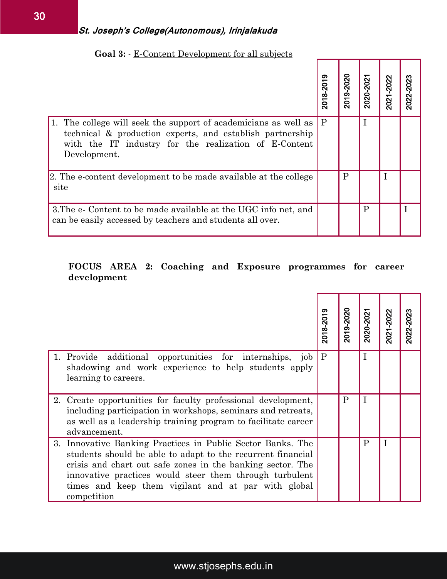|                                                                                                                                                                                                          | 2018-2019    | 2019-2020    | 2020-2021   | 2021-2022   | 2022-2023 |  |  |  |
|----------------------------------------------------------------------------------------------------------------------------------------------------------------------------------------------------------|--------------|--------------|-------------|-------------|-----------|--|--|--|
| The college will seek the support of academicians as well as<br>1.<br>technical & production experts, and establish partnership<br>with the IT industry for the realization of E-Content<br>Development. | $\mathbf{P}$ |              | $\mathbf I$ |             |           |  |  |  |
| 2. The e-content development to be made available at the college<br>site                                                                                                                                 |              | $\mathbf{P}$ |             | $\mathbf I$ |           |  |  |  |
| 3. The e- Content to be made available at the UGC info net, and<br>can be easily accessed by teachers and students all over.                                                                             |              |              | P           |             | I         |  |  |  |
| FOCUS AREA 2: Coaching and Exposure programmes for career<br>development                                                                                                                                 |              |              |             |             |           |  |  |  |
|                                                                                                                                                                                                          | 2018-2019    | 2019-2020    | 2020-2021   | 2021-2022   | 2022-2023 |  |  |  |

#### **Goal 3:** - E-Content Development for all subjects

#### **FOCUS AREA 2: Coaching and Exposure programmes for career development**

|                                                                                                                                                                                                                                                                                                                           | 2018-2019 | 2019-2020 | 2020-2021 | 2021-2022 | 2022-2023 |
|---------------------------------------------------------------------------------------------------------------------------------------------------------------------------------------------------------------------------------------------------------------------------------------------------------------------------|-----------|-----------|-----------|-----------|-----------|
| 1. Provide additional opportunities for internships,<br>job<br>shadowing and work experience to help students apply<br>learning to careers.                                                                                                                                                                               | P         |           |           |           |           |
| 2. Create opportunities for faculty professional development,<br>including participation in workshops, seminars and retreats,<br>as well as a leadership training program to facilitate career<br>advancement.                                                                                                            |           | P         |           |           |           |
| 3. Innovative Banking Practices in Public Sector Banks. The<br>students should be able to adapt to the recurrent financial<br>crisis and chart out safe zones in the banking sector. The<br>innovative practices would steer them through turbulent<br>times and keep them vigilant and at par with global<br>competition |           |           | P         | Ī         |           |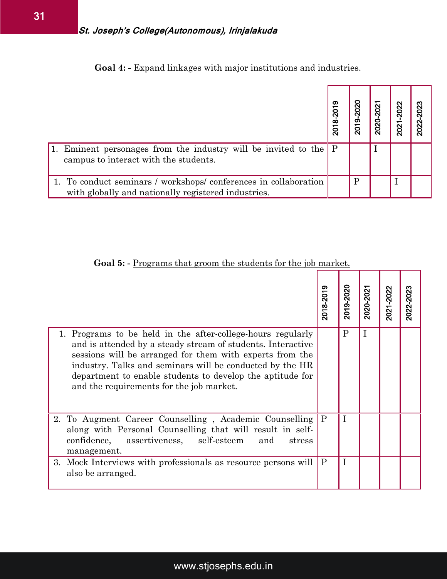#### **Goal 4: -** Expand linkages with major institutions and industries.

|                                                                                                                        | 2018-2019 | $-2020$<br><b>2019</b> | 2021<br>2020 | 2021-2022 | $-2023$<br>2022 |
|------------------------------------------------------------------------------------------------------------------------|-----------|------------------------|--------------|-----------|-----------------|
| 1. Eminent personages from the industry will be invited to the $ P $<br>campus to interact with the students.          |           |                        |              |           |                 |
| 1. To conduct seminars / workshops/conferences in collaboration<br>with globally and nationally registered industries. |           | P                      |              |           |                 |

#### Goal 5: - Programs that groom the students for the job market.

|                                                                                                                                                                                                                                                                                                                                                             |              | 2018-2019    | 2019-2020    | 2020-2021   |             | 2021-2022 | 2022-2023 |
|-------------------------------------------------------------------------------------------------------------------------------------------------------------------------------------------------------------------------------------------------------------------------------------------------------------------------------------------------------------|--------------|--------------|--------------|-------------|-------------|-----------|-----------|
| 1. Eminent personages from the industry will be invited to the<br>campus to interact with the students.                                                                                                                                                                                                                                                     |              | P            |              | $\mathbf I$ |             |           |           |
| 1. To conduct seminars / workshops/conferences in collaboration<br>with globally and nationally registered industries.                                                                                                                                                                                                                                      |              |              | $\mathbf{P}$ |             | $\mathbf I$ |           |           |
| <b>Goal 5:</b> - Programs that groom the students for the job market.                                                                                                                                                                                                                                                                                       | 2018-2019    | 2019-2020    |              | 2020-2021   | 2021-2022   | 2022-2023 |           |
| 1. Programs to be held in the after-college-hours regularly<br>and is attended by a steady stream of students. Interactive<br>sessions will be arranged for them with experts from the<br>industry. Talks and seminars will be conducted by the HR<br>department to enable students to develop the aptitude for<br>and the requirements for the job market. |              | $\mathbf{P}$ | $\mathbf I$  |             |             |           |           |
| 2. To Augment Career Counselling, Academic Counselling<br>along with Personal Counselling that will result in self-<br>confidence,<br>self-esteem<br>assertiveness,<br>and<br>stress<br>management.                                                                                                                                                         | $\mathbf{P}$ | $\mathbf I$  |              |             |             |           |           |
| 3. Mock Interviews with professionals as resource persons will<br>also be arranged.                                                                                                                                                                                                                                                                         | $\mathbf{P}$ | $\mathbf I$  |              |             |             |           |           |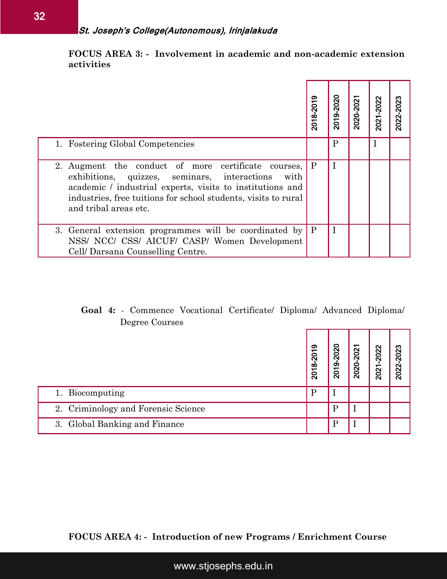**FOCUS AREA 3: - Involvement in academic and non-academic extension activities**

| 2018-2019<br>$\mathbf{P}$<br>$\mathbf{P}$ | 2019-2020<br>$\mathbf{P}$<br>$\mathbf I$<br>$\mathbf I$ | 2020-2021                                               | 2021-2022<br>$\bf I$                | 2022-2023                                                                            |
|-------------------------------------------|---------------------------------------------------------|---------------------------------------------------------|-------------------------------------|--------------------------------------------------------------------------------------|
|                                           |                                                         |                                                         |                                     |                                                                                      |
|                                           |                                                         |                                                         |                                     |                                                                                      |
|                                           |                                                         |                                                         |                                     |                                                                                      |
|                                           |                                                         |                                                         |                                     |                                                                                      |
|                                           |                                                         |                                                         |                                     | 2022-2023                                                                            |
|                                           |                                                         |                                                         |                                     |                                                                                      |
|                                           |                                                         |                                                         |                                     |                                                                                      |
|                                           |                                                         |                                                         |                                     |                                                                                      |
|                                           |                                                         |                                                         |                                     |                                                                                      |
|                                           | 2018-2019<br>$\mathbf{P}$                               | 2019-2020<br>$\mathbf I$<br>$\mathbf P$<br>$\mathbf{P}$ | 2020-2021<br>$\perp$<br>$\mathbf I$ | <b>Goal 4:</b> Commence Vocational Certificate Diploma Advanced Diploma<br>2021-2022 |

#### **Goal 4:** - Commence Vocational Certificate/ Diploma/ Advanced Diploma/ Degree Courses

|                                     | 2018-2019 | 2019-2020 | 2020-2021 | 2021-2022 | 2022-2023 |
|-------------------------------------|-----------|-----------|-----------|-----------|-----------|
| 1. Biocomputing                     |           |           |           |           |           |
| 2. Criminology and Forensic Science |           | D         |           |           |           |
| 3. Global Banking and Finance       |           | D         |           |           |           |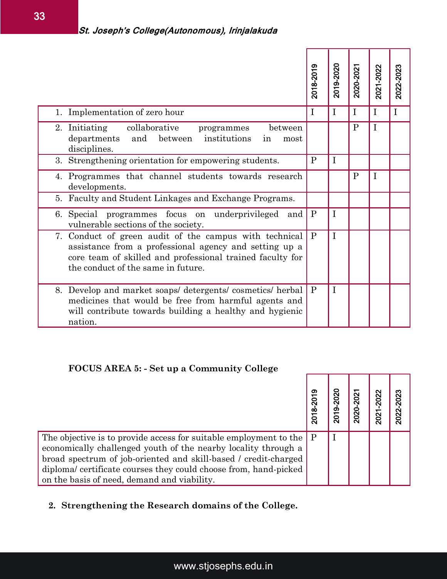|                                                                                                                                                                                                                     | 2018-2019    | 2019-2020   | 2020-2021    | 2021-2022   | 2022-2023    |
|---------------------------------------------------------------------------------------------------------------------------------------------------------------------------------------------------------------------|--------------|-------------|--------------|-------------|--------------|
| 1. Implementation of zero hour                                                                                                                                                                                      | $\mathbf{I}$ | $\mathbf I$ | $\mathbf I$  | $\mathbf I$ | $\mathbf{I}$ |
| collaborative<br>2. Initiating<br>between<br>programmes<br>institutions<br>departments<br>and<br>between<br>in<br>most<br>disciplines.                                                                              |              |             | $\mathbf{P}$ | $\mathbf I$ |              |
| 3. Strengthening orientation for empowering students.                                                                                                                                                               | P            | $\mathbf I$ |              |             |              |
| 4. Programmes that channel students towards research<br>developments.                                                                                                                                               |              |             | $\mathbf{P}$ | $\mathbf I$ |              |
| 5. Faculty and Student Linkages and Exchange Programs.                                                                                                                                                              |              |             |              |             |              |
| focus on<br>6. Special programmes<br>underprivileged and<br>vulnerable sections of the society.                                                                                                                     | $\mathbf{P}$ | $\mathbf I$ |              |             |              |
| 7. Conduct of green audit of the campus with technical<br>assistance from a professional agency and setting up a<br>core team of skilled and professional trained faculty for<br>the conduct of the same in future. | P            | $\mathbf I$ |              |             |              |
| 8. Develop and market soaps/detergents/cosmetics/herbal<br>medicines that would be free from harmful agents and<br>will contribute towards building a healthy and hygienic<br>nation.                               | P            | $\mathbf I$ |              |             |              |
| <b>FOCUS AREA 5: - Set up a Community College</b>                                                                                                                                                                   |              |             |              |             |              |
|                                                                                                                                                                                                                     | 2018-2019    | 2019-2020   | 2020-2021    | 2021-2022   | 2022-2023    |

#### **FOCUS AREA 5: - Set up a Community College**

|                                                                               | 2018-20 | 2019-2020 | 2020-2021 | 2021-2022 | 2022-2023 |
|-------------------------------------------------------------------------------|---------|-----------|-----------|-----------|-----------|
| The objective is to provide access for suitable employment to the $\boxed{P}$ |         |           |           |           |           |
| economically challenged youth of the nearby locality through a                |         |           |           |           |           |
| broad spectrum of job-oriented and skill-based / credit-charged               |         |           |           |           |           |
| diplomal certificate courses they could choose from, hand-picked              |         |           |           |           |           |
| on the basis of need, demand and viability.                                   |         |           |           |           |           |

#### **2. Strengthening the Research domains of the College.**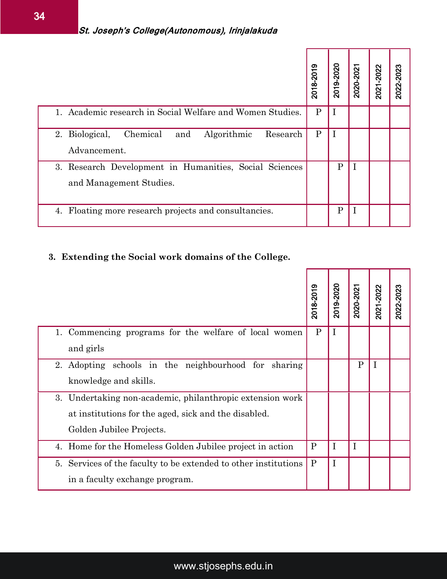|                                                                                   | 2018-2019    | 2019-2020    | 2020-2021   | 2021-2022 | 2022-2023 |
|-----------------------------------------------------------------------------------|--------------|--------------|-------------|-----------|-----------|
| 1. Academic research in Social Welfare and Women Studies.                         | $\mathbf{P}$ | I            |             |           |           |
| Chemical<br>2. Biological,<br>Algorithmic<br>Research<br>and<br>Advancement.      | P            | 1            |             |           |           |
| 3. Research Development in Humanities, Social Sciences<br>and Management Studies. |              | $\mathbf{P}$ | 1           |           |           |
| Floating more research projects and consultancies.<br>4.                          |              | $\mathbf{P}$ | $\mathbf I$ |           |           |

#### **3. Extending the Social work domains of the College.**

|                                                                                                                                               | 2018-2019    | 2019-2020   | 2020-2021    | 2021-2022   | 2022-2023 |
|-----------------------------------------------------------------------------------------------------------------------------------------------|--------------|-------------|--------------|-------------|-----------|
| 1. Academic research in Social Welfare and Women Studies.                                                                                     | $\mathbf{P}$ | $\mathbf I$ |              |             |           |
| Chemical<br>2. Biological,<br>Algorithmic<br>and<br>Research<br>Advancement.                                                                  | $\mathbf{P}$ | $\mathbf I$ |              |             |           |
| 3. Research Development in Humanities, Social Sciences<br>and Management Studies.                                                             |              | ${\bf P}$   | $\mathbf I$  |             |           |
| 4. Floating more research projects and consultancies.                                                                                         |              | ${\bf P}$   | $\mathbf I$  |             |           |
| Extending the Social work domains of the College.<br>3.                                                                                       |              |             |              |             |           |
|                                                                                                                                               | 2018-2019    | 2019-2020   | 2020-2021    | 2021-2022   | 2022-2023 |
| Commencing programs for the welfare of local women<br>1.<br>and girls                                                                         | $\mathbf{P}$ | $\mathbf I$ |              |             |           |
| 2. Adopting schools in the neighbourhood for<br>sharing<br>knowledge and skills.                                                              |              |             | $\mathbf{P}$ | $\mathbf I$ |           |
| 3. Undertaking non-academic, philanthropic extension work<br>at institutions for the aged, sick and the disabled.<br>Golden Jubilee Projects. |              |             |              |             |           |
| 4. Home for the Homeless Golden Jubilee project in action                                                                                     | $\mathbf{P}$ | I           | $\mathbf I$  |             |           |
| Services of the faculty to be extended to other institutions<br>5.<br>in a faculty exchange program.                                          | $\mathbf{P}$ | $\bf{I}$    |              |             |           |
|                                                                                                                                               |              |             |              |             |           |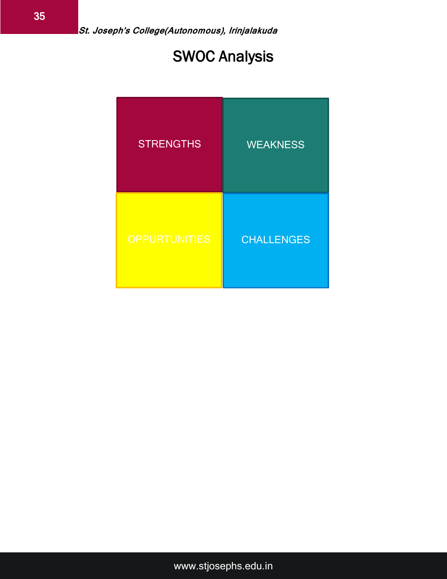# SWOC Analysis

| <b>STRENGTHS</b>     | <b>WEAKNESS</b>   |
|----------------------|-------------------|
| <b>OPPURTUNITIES</b> | <b>CHALLENGES</b> |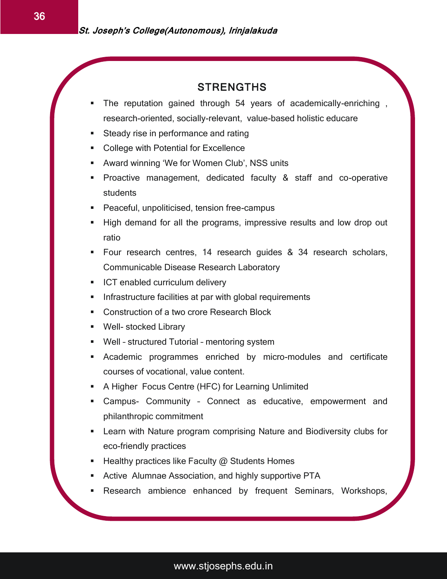#### **STRENGTHS**

 $\overline{a}$ 

- The reputation gained through 54 years of academically-enriching , research-oriented, socially-relevant, value-based holistic educare
- **Steady rise in performance and rating**
- College with Potential for Excellence
- Award winning 'We for Women Club', NSS units
- **Proactive management, dedicated faculty & staff and co-operative** students
- Peaceful, unpoliticised, tension free-campus
- **High demand for all the programs, impressive results and low drop out** ratio
- Four research centres, 14 research guides & 34 research scholars, Communicable Disease Research Laboratory
- **ICT enabled curriculum delivery**
- **Infrastructure facilities at par with global requirements**
- **Construction of a two crore Research Block**
- **Well- stocked Library**
- Well structured Tutorial mentoring system
- Academic programmes enriched by micro-modules and certificate courses of vocational, value content.
- A Higher Focus Centre (HFC) for Learning Unlimited
- Campus- Community Connect as educative, empowerment and philanthropic commitment
- Learn with Nature program comprising Nature and Biodiversity clubs for eco-friendly practices
- **Healthy practices like Faculty @ Students Homes**
- Active Alumnae Association, and highly supportive PTA
- Research ambience enhanced by frequent Seminars, Workshops,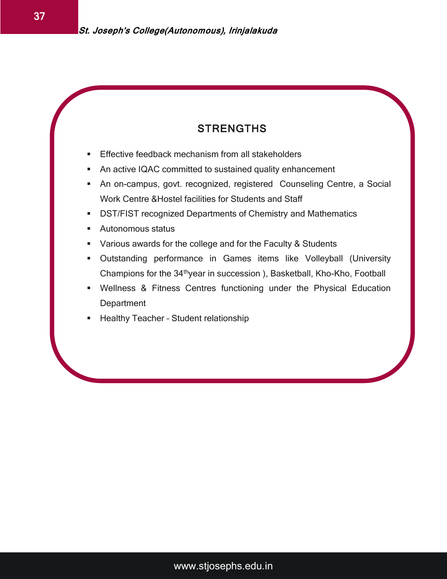#### STRENGTHS

- Effective feedback mechanism from all stakeholders
- An active IQAC committed to sustained quality enhancement
- An on-campus, govt. recognized, registered Counseling Centre, a Social Work Centre &Hostel facilities for Students and Staff
- DST/FIST recognized Departments of Chemistry and Mathematics
- Autonomous status
- Various awards for the college and for the Faculty & Students
- Outstanding performance in Games items like Volleyball (University Champions for the 34thyear in succession ), Basketball, Kho-Kho, Football
- Wellness & Fitness Centres functioning under the Physical Education **Department**
- Healthy Teacher Student relationship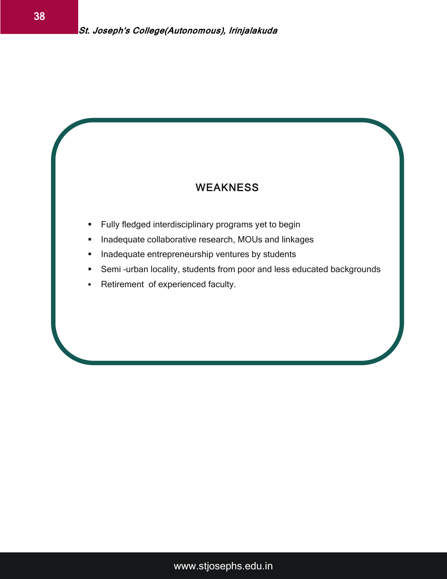#### **WEAKNESS**

- **Fully fledged interdisciplinary programs yet to begin**
- **Inadequate collaborative research, MOUs and linkages**
- **Inadequate entrepreneurship ventures by students**
- Semi –urban locality, students from poor and less educated backgrounds
- **Retirement of experienced faculty.**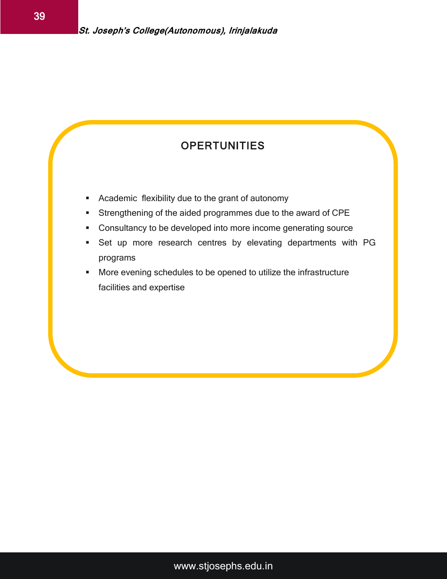#### **OPERTUNITIES**

- **Academic flexibility due to the grant of autonomy**
- Strengthening of the aided programmes due to the award of CPE
- Consultancy to be developed into more income generating source
- Set up more research centres by elevating departments with PG programs
- **More evening schedules to be opened to utilize the infrastructure** facilities and expertise